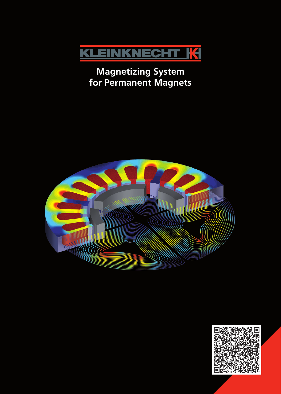

# **Magnetizing System for Permanent Magnets**